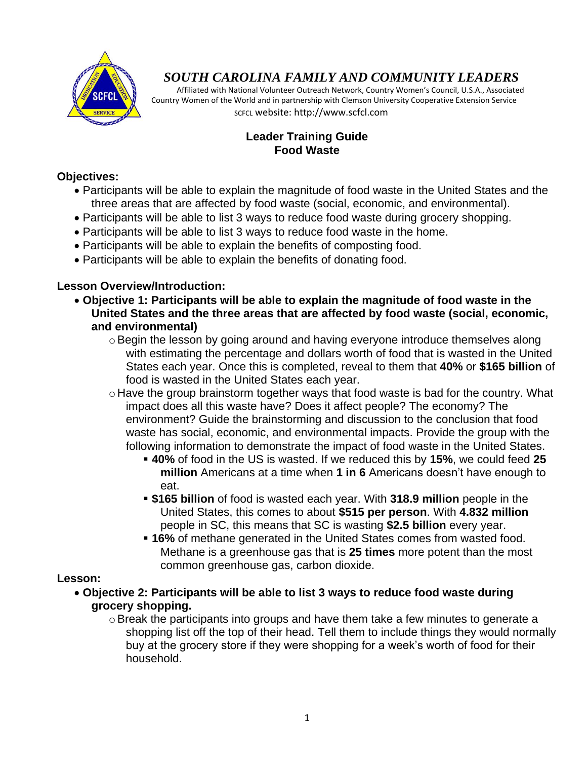

# *SOUTH CAROLINA FAMILY AND COMMUNITY LEADERS*

 Affiliated with National Volunteer Outreach Network, Country Women's Council, U.S.A., Associated Country Women of the World and in partnership with Clemson University Cooperative Extension Service SCFCL website: http://www.scfcl.com

## **Leader Training Guide Food Waste**

## **Objectives:**

- Participants will be able to explain the magnitude of food waste in the United States and the three areas that are affected by food waste (social, economic, and environmental).
- Participants will be able to list 3 ways to reduce food waste during grocery shopping.
- Participants will be able to list 3 ways to reduce food waste in the home.
- Participants will be able to explain the benefits of composting food.
- Participants will be able to explain the benefits of donating food.

#### **Lesson Overview/Introduction:**

- **Objective 1: Participants will be able to explain the magnitude of food waste in the United States and the three areas that are affected by food waste (social, economic, and environmental)**
	- $\circ$  Begin the lesson by going around and having everyone introduce themselves along with estimating the percentage and dollars worth of food that is wasted in the United States each year. Once this is completed, reveal to them that **40%** or **\$165 billion** of food is wasted in the United States each year.
	- o Have the group brainstorm together ways that food waste is bad for the country. What impact does all this waste have? Does it affect people? The economy? The environment? Guide the brainstorming and discussion to the conclusion that food waste has social, economic, and environmental impacts. Provide the group with the following information to demonstrate the impact of food waste in the United States.
		- **40%** of food in the US is wasted. If we reduced this by **15%**, we could feed **25 million** Americans at a time when **1 in 6** Americans doesn't have enough to eat.
		- **\$165 billion** of food is wasted each year. With **318.9 million** people in the United States, this comes to about **\$515 per person**. With **4.832 million** people in SC, this means that SC is wasting **\$2.5 billion** every year.
		- **16%** of methane generated in the United States comes from wasted food. Methane is a greenhouse gas that is **25 times** more potent than the most common greenhouse gas, carbon dioxide.

### **Lesson:**

- **Objective 2: Participants will be able to list 3 ways to reduce food waste during grocery shopping.**
	- oBreak the participants into groups and have them take a few minutes to generate a shopping list off the top of their head. Tell them to include things they would normally buy at the grocery store if they were shopping for a week's worth of food for their household.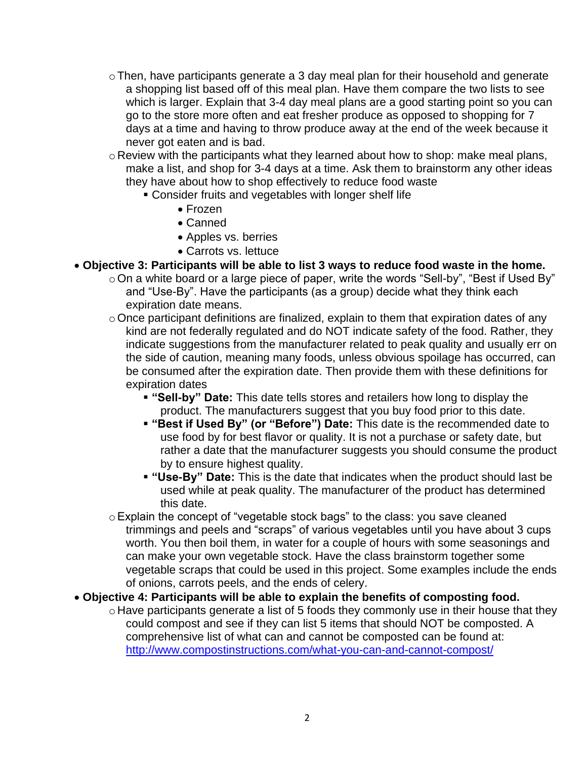- oThen, have participants generate a 3 day meal plan for their household and generate a shopping list based off of this meal plan. Have them compare the two lists to see which is larger. Explain that 3-4 day meal plans are a good starting point so you can go to the store more often and eat fresher produce as opposed to shopping for 7 days at a time and having to throw produce away at the end of the week because it never got eaten and is bad.
- o Review with the participants what they learned about how to shop: make meal plans, make a list, and shop for 3-4 days at a time. Ask them to brainstorm any other ideas they have about how to shop effectively to reduce food waste
	- Consider fruits and vegetables with longer shelf life
		- Frozen
		- Canned
		- Apples vs. berries
		- Carrots vs. lettuce
- **Objective 3: Participants will be able to list 3 ways to reduce food waste in the home.**
	- oOn a white board or a large piece of paper, write the words "Sell-by", "Best if Used By" and "Use-By". Have the participants (as a group) decide what they think each expiration date means.
	- $\circ$  Once participant definitions are finalized, explain to them that expiration dates of any kind are not federally regulated and do NOT indicate safety of the food. Rather, they indicate suggestions from the manufacturer related to peak quality and usually err on the side of caution, meaning many foods, unless obvious spoilage has occurred, can be consumed after the expiration date. Then provide them with these definitions for expiration dates
		- **"Sell-by" Date:** This date tells stores and retailers how long to display the product. The manufacturers suggest that you buy food prior to this date.
		- **"Best if Used By" (or "Before") Date:** This date is the recommended date to use food by for best flavor or quality. It is not a purchase or safety date, but rather a date that the manufacturer suggests you should consume the product by to ensure highest quality.
		- **"Use-By" Date:** This is the date that indicates when the product should last be used while at peak quality. The manufacturer of the product has determined this date.
	- oExplain the concept of "vegetable stock bags" to the class: you save cleaned trimmings and peels and "scraps" of various vegetables until you have about 3 cups worth. You then boil them, in water for a couple of hours with some seasonings and can make your own vegetable stock. Have the class brainstorm together some vegetable scraps that could be used in this project. Some examples include the ends of onions, carrots peels, and the ends of celery.
- **Objective 4: Participants will be able to explain the benefits of composting food.**
	- o Have participants generate a list of 5 foods they commonly use in their house that they could compost and see if they can list 5 items that should NOT be composted. A comprehensive list of what can and cannot be composted can be found at: <http://www.compostinstructions.com/what-you-can-and-cannot-compost/>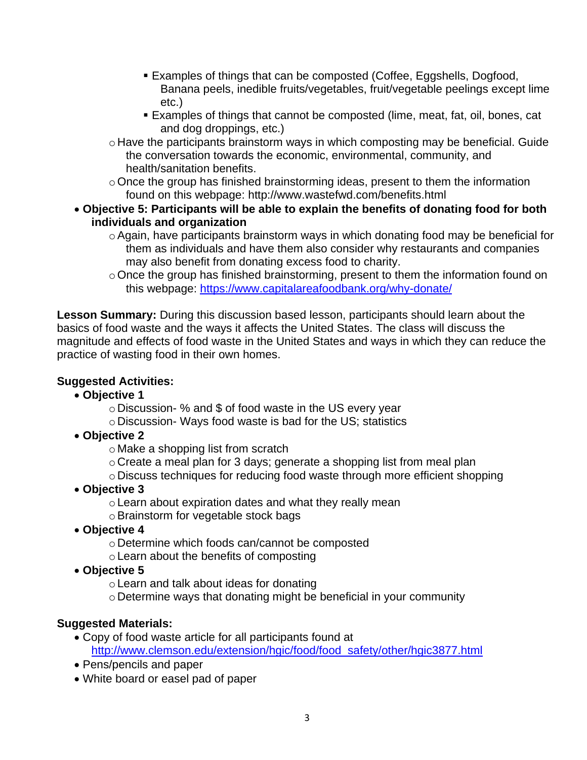- Examples of things that can be composted (Coffee, Eggshells, Dogfood, Banana peels, inedible fruits/vegetables, fruit/vegetable peelings except lime etc.)
- Examples of things that cannot be composted (lime, meat, fat, oil, bones, cat and dog droppings, etc.)
- o Have the participants brainstorm ways in which composting may be beneficial. Guide the conversation towards the economic, environmental, community, and health/sanitation benefits.
- $\circ$  Once the group has finished brainstorming ideas, present to them the information found on this webpage: http://www.wastefwd.com/benefits.html
- **Objective 5: Participants will be able to explain the benefits of donating food for both individuals and organization**
	- o Again, have participants brainstorm ways in which donating food may be beneficial for them as individuals and have them also consider why restaurants and companies may also benefit from donating excess food to charity.
	- oOnce the group has finished brainstorming, present to them the information found on this webpage:<https://www.capitalareafoodbank.org/why-donate/>

**Lesson Summary:** During this discussion based lesson, participants should learn about the basics of food waste and the ways it affects the United States. The class will discuss the magnitude and effects of food waste in the United States and ways in which they can reduce the practice of wasting food in their own homes.

# **Suggested Activities:**

- **Objective 1**
	- o Discussion- % and \$ of food waste in the US every year
	- o Discussion- Ways food waste is bad for the US; statistics
- **Objective 2**
	- o Make a shopping list from scratch
	- o Create a meal plan for 3 days; generate a shopping list from meal plan
	- o Discuss techniques for reducing food waste through more efficient shopping
- **Objective 3**
	- oLearn about expiration dates and what they really mean
	- o Brainstorm for vegetable stock bags
- **Objective 4**
	- o Determine which foods can/cannot be composted
	- oLearn about the benefits of composting
- **Objective 5**
	- oLearn and talk about ideas for donating
	- o Determine ways that donating might be beneficial in your community

# **Suggested Materials:**

- Copy of food waste article for all participants found at [http://www.clemson.edu/extension/hgic/food/food\\_safety/other/hgic3877.html](http://www.clemson.edu/extension/hgic/food/food_safety/other/hgic3877.html)
- Pens/pencils and paper
- White board or easel pad of paper